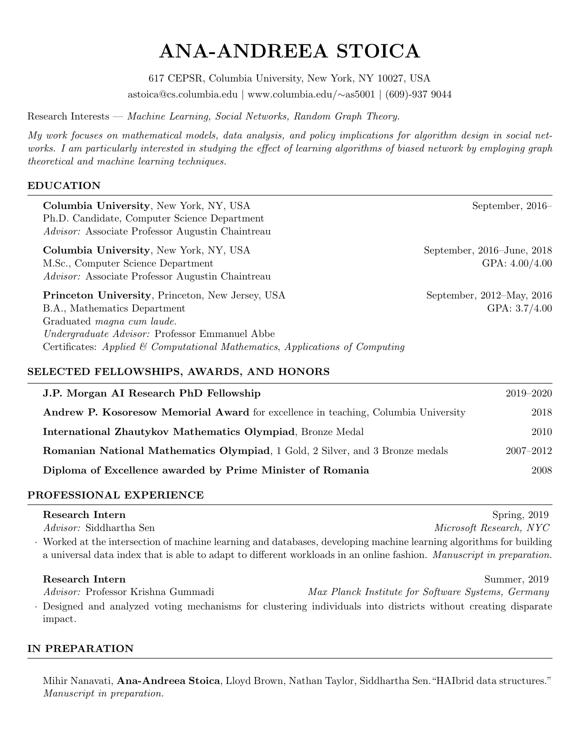# ANA-ANDREEA STOICA

617 CEPSR, Columbia University, New York, NY 10027, USA astoica@cs.columbia.edu | www.columbia.edu/∼as5001 | (609)-937 9044

Research Interests — Machine Learning, Social Networks, Random Graph Theory.

My work focuses on mathematical models, data analysis, and policy implications for algorithm design in social networks. I am particularly interested in studying the effect of learning algorithms of biased network by employing graph theoretical and machine learning techniques.

#### EDUCATION

| Columbia University, New York, NY, USA<br>Ph.D. Candidate, Computer Science Department<br><i>Advisor:</i> Associate Professor Augustin Chaintreau                                                                                                                     | September, $2016-$                                  |  |  |
|-----------------------------------------------------------------------------------------------------------------------------------------------------------------------------------------------------------------------------------------------------------------------|-----------------------------------------------------|--|--|
| Columbia University, New York, NY, USA<br>M.Sc., Computer Science Department<br><i>Advisor:</i> Associate Professor Augustin Chaintreau                                                                                                                               | September, $2016$ -June, $2018$<br>GPA: $4.00/4.00$ |  |  |
| <b>Princeton University, Princeton, New Jersey, USA</b><br>B.A., Mathematics Department<br>Graduated <i>magna</i> cum laude.<br><i>Undergraduate Advisor:</i> Professor Emmanuel Abbe<br>Certificates: Applied & Computational Mathematics, Applications of Computing | September, 2012–May, 2016<br>GPA: $3.7/4.00$        |  |  |
| SELECTED FELLOWSHIPS, AWARDS, AND HONORS                                                                                                                                                                                                                              |                                                     |  |  |
| J.P. Morgan AI Research PhD Fellowship                                                                                                                                                                                                                                | 2019–2020                                           |  |  |
| <b>Andrew P. Kosoresow Memorial Award</b> for excellence in teaching, Columbia University                                                                                                                                                                             | 2018                                                |  |  |
| International Zhautykov Mathematics Olympiad, Bronze Medal                                                                                                                                                                                                            | 2010                                                |  |  |

Diploma of Excellence awarded by Prime Minister of Romania 2008

# PROFESSIONAL EXPERIENCE

| Research Intern                                                                                                      | Spring, $2019$          |
|----------------------------------------------------------------------------------------------------------------------|-------------------------|
| <i>Advisor:</i> Siddhartha Sen                                                                                       | Microsoft Research, NYC |
| Worked at the intersection of machine learning and databases, developing machine learning algorithms for building    |                         |
| a universal data index that is able to adapt to different workloads in an online fashion. Manuscript in preparation. |                         |
|                                                                                                                      |                         |

Romanian National Mathematics Olympiad, 1 Gold, 2 Silver, and 3 Bronze medals 2007–2012

Research Intern Summer, 2019 Advisor: Professor Krishna Gummadi Max Planck Institute for Software Systems, Germany · Designed and analyzed voting mechanisms for clustering individuals into districts without creating disparate impact.

# IN PREPARATION

Mihir Nanavati, Ana-Andreea Stoica, Lloyd Brown, Nathan Taylor, Siddhartha Sen. "HAIbrid data structures." Manuscript in preparation.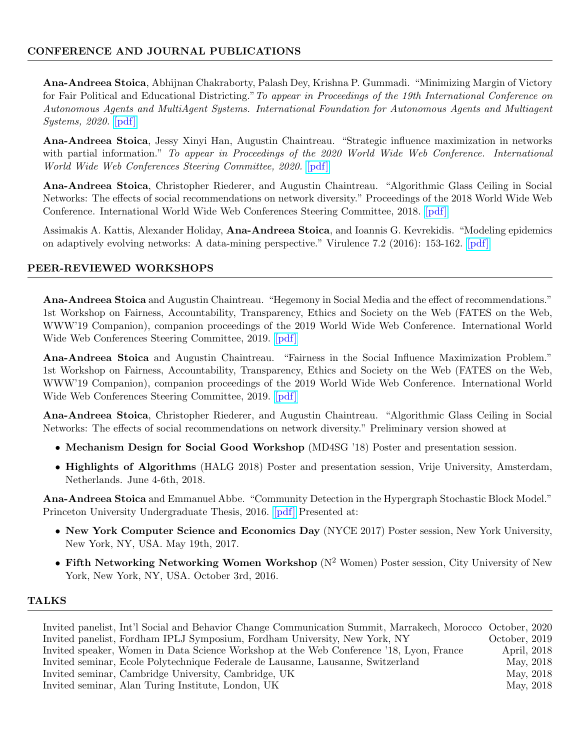# CONFERENCE AND JOURNAL PUBLICATIONS

Ana-Andreea Stoica, Abhijnan Chakraborty, Palash Dey, Krishna P. Gummadi. "Minimizing Margin of Victory for Fair Political and Educational Districting." To appear in Proceedings of the 19th International Conference on Autonomous Agents and MultiAgent Systems. International Foundation for Autonomous Agents and Multiagent Systems, 2020. [\[pdf\]](https://arxiv.org/pdf/1909.05583.pdf)

Ana-Andreea Stoica, Jessy Xinyi Han, Augustin Chaintreau. "Strategic influence maximization in networks with partial information." To appear in Proceedings of the 2020 World Wide Web Conference. International World Wide Web Conferences Steering Committee, 2020. [\[pdf\]](http://www.columbia.edu/~as5001/diversityinfluence.pdf)

Ana-Andreea Stoica, Christopher Riederer, and Augustin Chaintreau. "Algorithmic Glass Ceiling in Social Networks: The effects of social recommendations on network diversity." Proceedings of the 2018 World Wide Web Conference. International World Wide Web Conferences Steering Committee, 2018. [\[pdf\]](http://www.columbia.edu/~as5001/algglassceiling.pdf)

Assimakis A. Kattis, Alexander Holiday, Ana-Andreea Stoica, and Ioannis G. Kevrekidis. "Modeling epidemics on adaptively evolving networks: A data-mining perspective." Virulence 7.2 (2016): 153-162. [\[pdf\]](https://arxiv.org/ftp/arxiv/papers/1507/1507.01452.pdf)

#### PEER-REVIEWED WORKSHOPS

Ana-Andreea Stoica and Augustin Chaintreau. "Hegemony in Social Media and the effect of recommendations." 1st Workshop on Fairness, Accountability, Transparency, Ethics and Society on the Web (FATES on the Web, WWW'19 Companion), companion proceedings of the 2019 World Wide Web Conference. International World Wide Web Conferences Steering Committee, 2019. [\[pdf\]](http://www.columbia.edu/~as5001/hegemonyworkshop.pdf)

Ana-Andreea Stoica and Augustin Chaintreau. "Fairness in the Social Influence Maximization Problem." 1st Workshop on Fairness, Accountability, Transparency, Ethics and Society on the Web (FATES on the Web, WWW'19 Companion), companion proceedings of the 2019 World Wide Web Conference. International World Wide Web Conferences Steering Committee, 2019. [\[pdf\]](http://www.columbia.edu/~as5001/fairnessinfluenceworkshop.pdf)

Ana-Andreea Stoica, Christopher Riederer, and Augustin Chaintreau. "Algorithmic Glass Ceiling in Social Networks: The effects of social recommendations on network diversity." Preliminary version showed at

- Mechanism Design for Social Good Workshop (MD4SG '18) Poster and presentation session.
- Highlights of Algorithms (HALG 2018) Poster and presentation session, Vrije University, Amsterdam, Netherlands. June 4-6th, 2018.

Ana-Andreea Stoica and Emmanuel Abbe. "Community Detection in the Hypergraph Stochastic Block Model." Princeton University Undergraduate Thesis, 2016. [\[pdf\]](http://arks.princeton.edu/ark:/88435/dsp015q47rr19x) Presented at:

- New York Computer Science and Economics Day (NYCE 2017) Poster session, New York University, New York, NY, USA. May 19th, 2017.
- Fifth Networking Networking Women Workshop  $(N^2$  Women) Poster session, City University of New York, New York, NY, USA. October 3rd, 2016.

#### TALKS

Invited panelist, Int'l Social and Behavior Change Communication Summit, Marrakech, Morocco October, 2020 Invited panelist, Fordham IPLJ Symposium, Fordham University, New York, NY October, 2019 Invited speaker, Women in Data Science Workshop at the Web Conference '18, Lyon, France April, 2018 Invited seminar, Ecole Polytechnique Federale de Lausanne, Lausanne, Switzerland May, 2018 Invited seminar, Cambridge University, Cambridge, UK May, 2018 Invited seminar, Alan Turing Institute, London, UK May, 2018